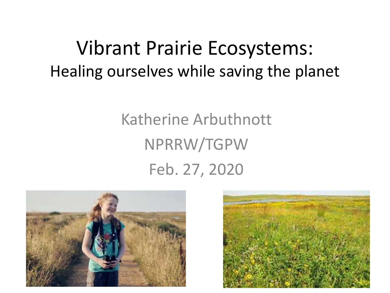#### Vibrant Prairie Ecosystems: Healing ourselves while saving the planet

#### Katherine Arbuthnott NPRRW/TGPW Feb. 27, 2020



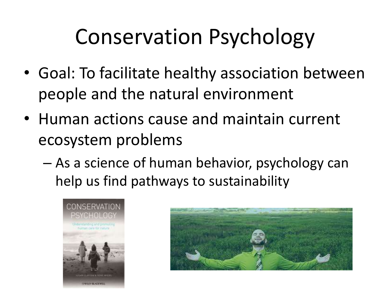## Conservation Psychology

- Goal: To facilitate healthy association between people and the natural environment
- Human actions cause and maintain current ecosystem problems
	- As a science of human behavior, psychology can help us find pathways to sustainability



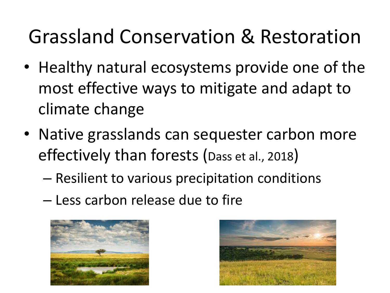#### Grassland Conservation & Restoration

- Healthy natural ecosystems provide one of the most effective ways to mitigate and adapt to climate change
- Native grasslands can sequester carbon more effectively than forests (Dass et al., 2018)
	- Resilient to various precipitation conditions
	- Less carbon release due to fire



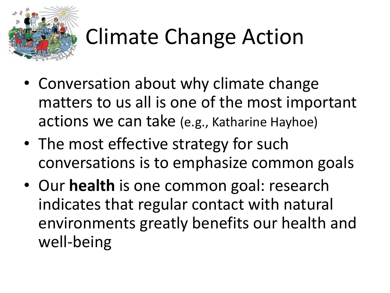

# Climate Change Action

- Conversation about why climate change matters to us all is one of the most important actions we can take (e.g., Katharine Hayhoe)
- The most effective strategy for such conversations is to emphasize common goals
- Our **health** is one common goal: research indicates that regular contact with natural environments greatly benefits our health and well-being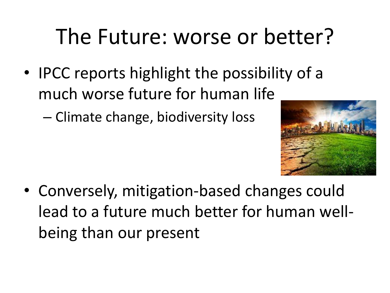## The Future: worse or better?

• IPCC reports highlight the possibility of a much worse future for human life

– Climate change, biodiversity loss



• Conversely, mitigation-based changes could lead to a future much better for human wellbeing than our present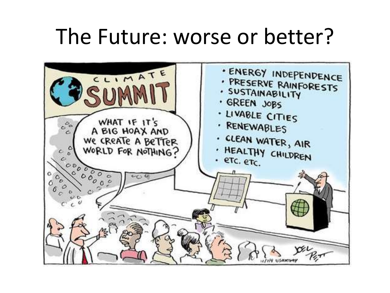#### The Future: worse or better?

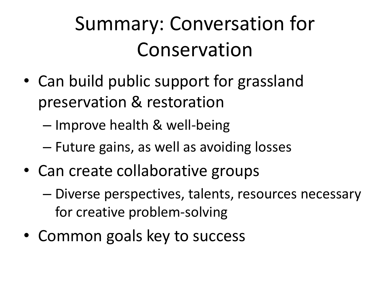#### Summary: Conversation for Conservation

- Can build public support for grassland preservation & restoration
	- Improve health & well-being
	- Future gains, as well as avoiding losses
- Can create collaborative groups
	- Diverse perspectives, talents, resources necessary for creative problem-solving
- Common goals key to success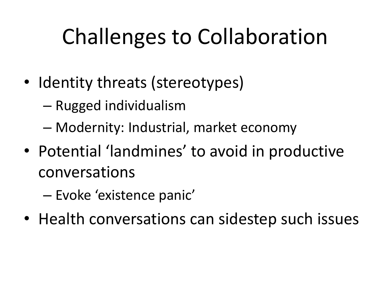## Challenges to Collaboration

- Identity threats (stereotypes)
	- Rugged individualism
	- Modernity: Industrial, market economy
- Potential 'landmines' to avoid in productive conversations
	- Evoke 'existence panic'
- Health conversations can sidestep such issues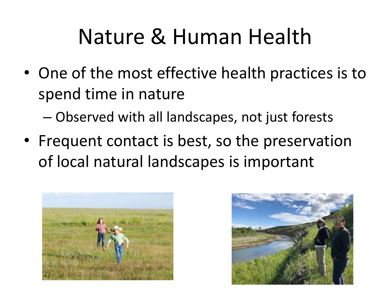#### Nature & Human Health

• One of the most effective health practices is to spend time in nature

– Observed with all landscapes, not just forests

• Frequent contact is best, so the preservation of local natural landscapes is important



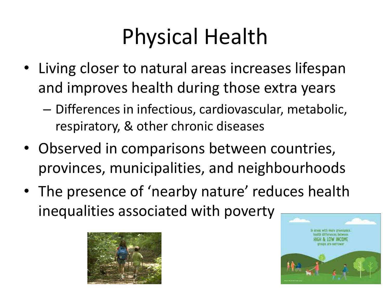## Physical Health

- Living closer to natural areas increases lifespan and improves health during those extra years
	- Differences in infectious, cardiovascular, metabolic, respiratory, & other chronic diseases
- Observed in comparisons between countries, provinces, municipalities, and neighbourhoods
- The presence of 'nearby nature' reduces health inequalities associated with poverty



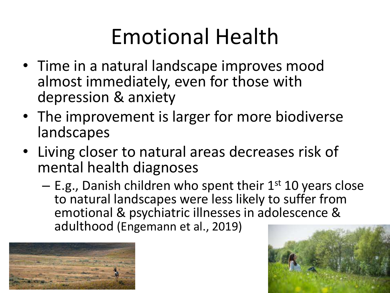## Emotional Health

- Time in a natural landscape improves mood almost immediately, even for those with depression & anxiety
- The improvement is larger for more biodiverse landscapes
- Living closer to natural areas decreases risk of mental health diagnoses
	- $-$  E.g., Danish children who spent their  $1<sup>st</sup> 10$  years close to natural landscapes were less likely to suffer from emotional & psychiatric illnesses in adolescence & adulthood (Engemann et al., 2019)



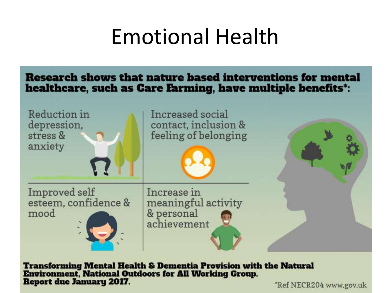#### Emotional Health

#### Research shows that nature based interventions for mental healthcare, such as Care Farming, have multiple benefits\*:



**Transforming Mental Health & Dementia Provision with the Natural Environment, National Outdoors for All Working Group. Report due January 2017.** 

Ref NECR204 www.gov.uk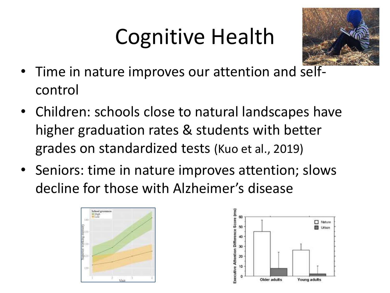## Cognitive Health



- Time in nature improves our attention and selfcontrol
- Children: schools close to natural landscapes have higher graduation rates & students with better grades on standardized tests (Kuo et al., 2019)
- Seniors: time in nature improves attention; slows decline for those with Alzheimer's disease



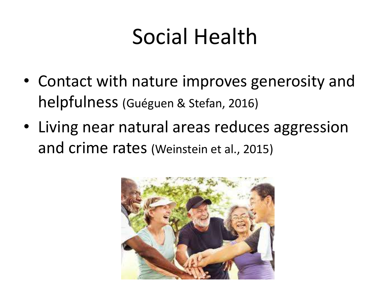#### Social Health

- Contact with nature improves generosity and helpfulness (Guéguen & Stefan, 2016)
- Living near natural areas reduces aggression and crime rates (Weinstein et al., 2015)